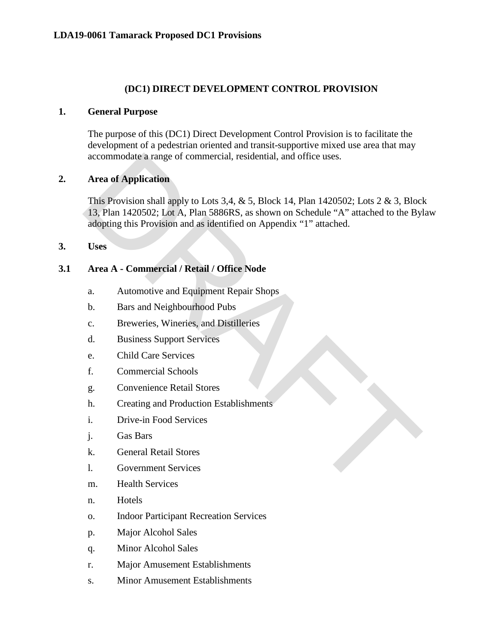### **(DC1) DIRECT DEVELOPMENT CONTROL PROVISION**

### **1. General Purpose**

The purpose of this (DC1) Direct Development Control Provision is to facilitate the development of a pedestrian oriented and transit-supportive mixed use area that may accommodate a range of commercial, residential, and office uses.

### **2. Area of Application**

This Provision shall apply to Lots 3,4,  $&$  5, Block 14, Plan 1420502; Lots 2  $&$  3, Block 13, Plan 1420502; Lot A, Plan 5886RS, as shown on Schedule "A" attached to the Bylaw adopting this Provision and as identified on Appendix "1" attached. accommodate a range of commercial, residential, and office uses.<br>
Area of Application<br>
This Provision shall apply to Lots 3,4, & 5, Block 14, Plan 1420502; Lots 2 & 3, Block<br>
13, Plan 1420502; Lot A, Plan 5886RS, as shown

**3. Uses**

### **3.1 Area A - Commercial / Retail / Office Node**

- a. Automotive and Equipment Repair Shops
- b. Bars and Neighbourhood Pubs
- c. Breweries, Wineries, and Distilleries
- d. Business Support Services
- e. Child Care Services
- f. Commercial Schools
- g. Convenience Retail Stores
- h. Creating and Production Establishments
- i. Drive-in Food Services
- j. Gas Bars
- k. General Retail Stores
- l. Government Services
- m. Health Services
- n. Hotels
- o. Indoor Participant Recreation Services
- p. Major Alcohol Sales
- q. Minor Alcohol Sales
- r. Major Amusement Establishments
- s. Minor Amusement Establishments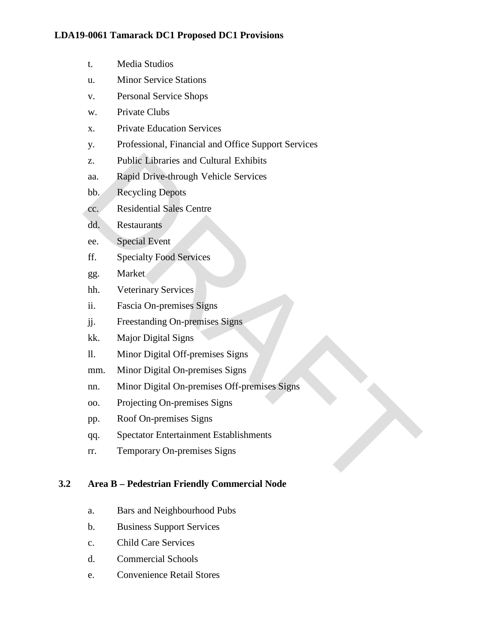- t. Media Studios
- u. Minor Service Stations
- v. Personal Service Shops
- w. Private Clubs
- x. Private Education Services
- y. Professional, Financial and Office Support Services
- z. Public Libraries and Cultural Exhibits
- aa. Rapid Drive-through Vehicle Services
- bb. Recycling Depots
- cc. Residential Sales Centre
- dd. Restaurants
- ee. Special Event
- ff. Specialty Food Services
- gg. Market
- hh. Veterinary Services
- ii. Fascia On-premises Signs
- jj. Freestanding On-premises Signs
- kk. Major Digital Signs
- ll. Minor Digital Off-premises Signs
- mm. Minor Digital On-premises Signs
- nn. Minor Digital On-premises Off-premises Signs 2. Publie Libraries and Cultural Exhibits<br>
aa. Rapid Drive-through Vehicle Services<br>
bb. Recycling Depots<br>
cc. Residential Sales Centre<br>
dd. Restaurants<br>
ee. Special Fvent<br>
Experiment Pool Services<br>
gg. Market<br>
hh. Veteri
- oo. Projecting On-premises Signs
- pp. Roof On-premises Signs
- qq. Spectator Entertainment Establishments
- rr. Temporary On-premises Signs

## **3.2 Area B – Pedestrian Friendly Commercial Node**

- a. Bars and Neighbourhood Pubs
- b. Business Support Services
- c. Child Care Services
- d. Commercial Schools
- e. Convenience Retail Stores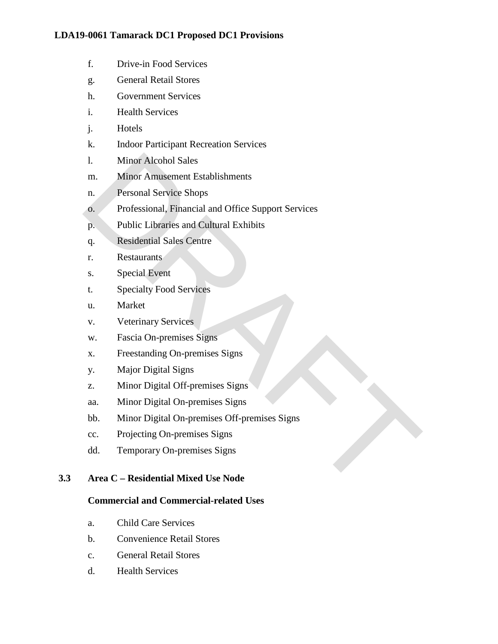- f. Drive-in Food Services
- g. General Retail Stores
- h. Government Services
- i. Health Services
- j. Hotels
- k. Indoor Participant Recreation Services
- l. Minor Alcohol Sales
- m. Minor Amusement Establishments
- n. Personal Service Shops
- o. Professional, Financial and Office Support Services 1. Minor Alcohol Sales<br>
m. Minor Amusement Establishments<br>
n. Personal Service Shops<br>
6. Professional, Financial and Office Support Services<br>
p. Public Libraries and Cultural Exhibits<br>
4. Restaurants<br>
8. Special Event<br>
t.
- p. Public Libraries and Cultural Exhibits
- q. Residential Sales Centre
- r. Restaurants
- s. Special Event
- t. Specialty Food Services
- u. Market
- v. Veterinary Services
- w. Fascia On-premises Signs
- x. Freestanding On-premises Signs
- y. Major Digital Signs
- z. Minor Digital Off-premises Signs
- aa. Minor Digital On-premises Signs
- bb. Minor Digital On-premises Off-premises Signs
- cc. Projecting On-premises Signs
- dd. Temporary On-premises Signs

## **3.3 Area C – Residential Mixed Use Node**

## **Commercial and Commercial-related Uses**

- a. Child Care Services
- b. Convenience Retail Stores
- c. General Retail Stores
- d. Health Services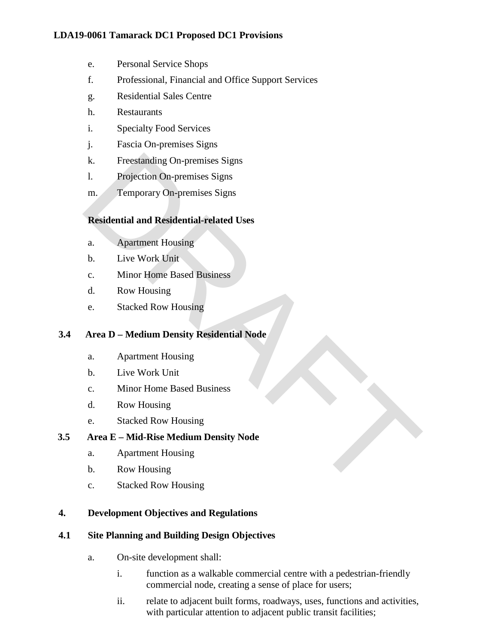- e. Personal Service Shops
- f. Professional, Financial and Office Support Services
- g. Residential Sales Centre
- h. Restaurants
- i. Specialty Food Services
- j. Fascia On-premises Signs
- k. Freestanding On-premises Signs
- l. Projection On-premises Signs
- m. Temporary On-premises Signs

# **Residential and Residential-related Uses**

- a. Apartment Housing
- b. Live Work Unit
- c. Minor Home Based Business
- d. Row Housing
- e. Stacked Row Housing

## **3.4 Area D – Medium Density Residential Node**

- a. Apartment Housing
- b. Live Work Unit
- c. Minor Home Based Business
- d. Row Housing
- e. Stacked Row Housing

# **3.5 Area E – Mid-Rise Medium Density Node** k. Freestanding On-premises Signs<br>
1. Projection On-premises Signs<br>
m. Temporary On-premises Signs<br> **Residential and Residential-related Uses**<br> **a.** Apartment Housing<br>
c. Minor Home Based Business<br>
d. Row Housing<br>
e. Stack

- a. Apartment Housing
- b. Row Housing
- c. Stacked Row Housing

# **4. Development Objectives and Regulations**

## **4.1 Site Planning and Building Design Objectives**

- a. On-site development shall:
	- i. function as a walkable commercial centre with a pedestrian-friendly commercial node, creating a sense of place for users;
	- ii. relate to adjacent built forms, roadways, uses, functions and activities, with particular attention to adjacent public transit facilities;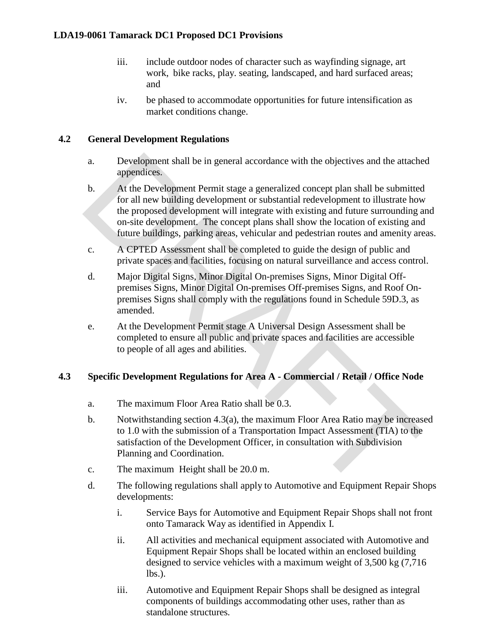- iii. include outdoor nodes of character such as wayfinding signage, art work, bike racks, play. seating, landscaped, and hard surfaced areas; and
- iv. be phased to accommodate opportunities for future intensification as market conditions change.

# **4.2 General Development Regulations**

- a. Development shall be in general accordance with the objectives and the attached appendices.
- b. At the Development Permit stage a generalized concept plan shall be submitted for all new building development or substantial redevelopment to illustrate how the proposed development will integrate with existing and future surrounding and on-site development. The concept plans shall show the location of existing and future buildings, parking areas, vehicular and pedestrian routes and amenity areas. a. Development shall be in general accordance with the objectives and the attache<br>appendices.<br>At the Development Permit stage a generalized concept plan shall be submitted<br>for all new building development or substantial r
- c. A CPTED Assessment shall be completed to guide the design of public and private spaces and facilities, focusing on natural surveillance and access control.
- d. Major Digital Signs, Minor Digital On-premises Signs, Minor Digital Offpremises Signs, Minor Digital On-premises Off-premises Signs, and Roof Onpremises Signs shall comply with the regulations found in Schedule 59D.3, as amended.
- e. At the Development Permit stage A Universal Design Assessment shall be completed to ensure all public and private spaces and facilities are accessible to people of all ages and abilities.

## **4.3 Specific Development Regulations for Area A - Commercial / Retail / Office Node**

- a. The maximum Floor Area Ratio shall be 0.3.
- b. Notwithstanding section 4.3(a), the maximum Floor Area Ratio may be increased to 1.0 with the submission of a Transportation Impact Assessment (TIA) to the satisfaction of the Development Officer, in consultation with Subdivision Planning and Coordination.
- c. The maximum Height shall be 20.0 m.
- d. The following regulations shall apply to Automotive and Equipment Repair Shops developments:
	- i. Service Bays for Automotive and Equipment Repair Shops shall not front onto Tamarack Way as identified in Appendix I.
	- ii. All activities and mechanical equipment associated with Automotive and Equipment Repair Shops shall be located within an enclosed building designed to service vehicles with a maximum weight of 3,500 kg (7,716 lbs.).
	- iii. Automotive and Equipment Repair Shops shall be designed as integral components of buildings accommodating other uses, rather than as standalone structures.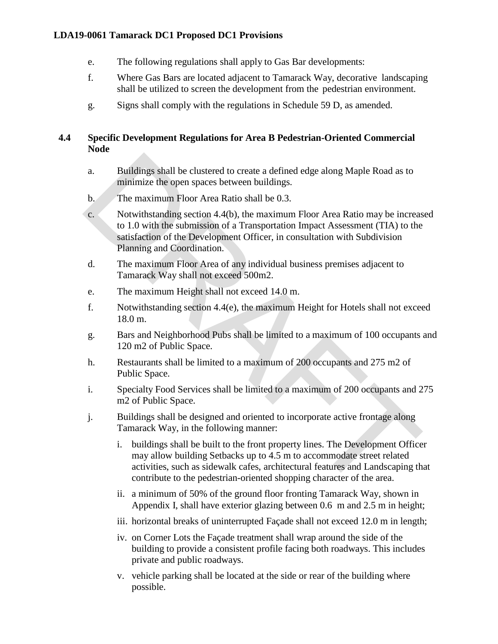- e. The following regulations shall apply to Gas Bar developments:
- f. Where Gas Bars are located adjacent to Tamarack Way, decorative landscaping shall be utilized to screen the development from the pedestrian environment.
- g. Signs shall comply with the regulations in Schedule 59 D, as amended.

# **4.4 Specific Development Regulations for Area B Pedestrian-Oriented Commercial Node**

- a. Buildings shall be clustered to create a defined edge along Maple Road as to minimize the open spaces between buildings.
- b. The maximum Floor Area Ratio shall be 0.3.
- c. Notwithstanding section 4.4(b), the maximum Floor Area Ratio may be increased to 1.0 with the submission of a Transportation Impact Assessment (TIA) to the satisfaction of the Development Officer, in consultation with Subdivision Planning and Coordination. a. Buildings shall be clustered to create a defined edge along Maple Road as to<br>minimize the open spaces between buildings.<br>
b.<br>
The maximum Floor Area Ratio shall be 0.3.<br>
c.<br>
C. Notwithstanding section 4.4(b), the maxim
- d. The maximum Floor Area of any individual business premises adjacent to Tamarack Way shall not exceed 500m2.
- e. The maximum Height shall not exceed 14.0 m.
- f. Notwithstanding section 4.4(e), the maximum Height for Hotels shall not exceed 18.0 m.
- g. Bars and Neighborhood Pubs shall be limited to a maximum of 100 occupants and 120 m2 of Public Space.
- h. Restaurants shall be limited to a maximum of 200 occupants and 275 m2 of Public Space.
- i. Specialty Food Services shall be limited to a maximum of 200 occupants and 275 m2 of Public Space.
- j. Buildings shall be designed and oriented to incorporate active frontage along Tamarack Way, in the following manner:
	- i. buildings shall be built to the front property lines. The Development Officer may allow building Setbacks up to 4.5 m to accommodate street related activities, such as sidewalk cafes, architectural features and Landscaping that contribute to the pedestrian-oriented shopping character of the area.
	- ii. a minimum of 50% of the ground floor fronting Tamarack Way, shown in Appendix I, shall have exterior glazing between 0.6 m and 2.5 m in height;
	- iii. horizontal breaks of uninterrupted Façade shall not exceed 12.0 m in length;
	- iv. on Corner Lots the Façade treatment shall wrap around the side of the building to provide a consistent profile facing both roadways. This includes private and public roadways.
	- v. vehicle parking shall be located at the side or rear of the building where possible.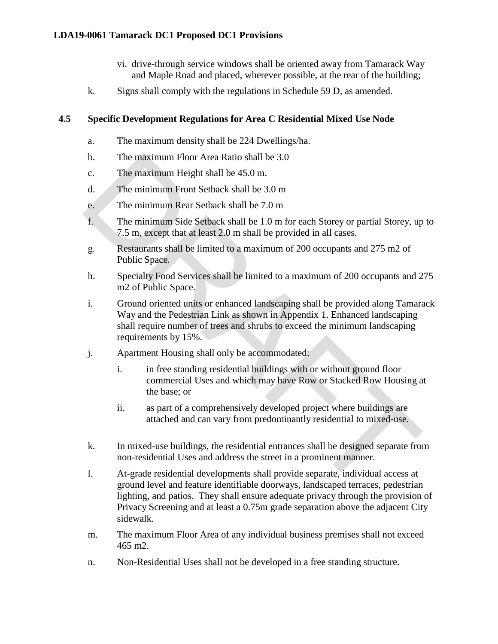- vi. drive-through service windows shall be oriented away from Tamarack Way and Maple Road and placed, wherever possible, at the rear of the building;
- k. Signs shall comply with the regulations in Schedule 59 D, as amended.

### **4.5 Specific Development Regulations for Area C Residential Mixed Use Node**

- a. The maximum density shall be 224 Dwellings/ha.
- b. The maximum Floor Area Ratio shall be 3.0
- c. The maximum Height shall be 45.0 m.
- d. The minimum Front Setback shall be 3.0 m
- e. The minimum Rear Setback shall be 7.0 m
- f. The minimum Side Setback shall be 1.0 m for each Storey or partial Storey, up to 7.5 m, except that at least 2.0 m shall be provided in all cases.
- g. Restaurants shall be limited to a maximum of 200 occupants and 275 m2 of Public Space.
- h. Specialty Food Services shall be limited to a maximum of 200 occupants and 275 m2 of Public Space.
- i. Ground oriented units or enhanced landscaping shall be provided along Tamarack Way and the Pedestrian Link as shown in Appendix 1. Enhanced landscaping shall require number of trees and shrubs to exceed the minimum landscaping requirements by 15%. b. The maximum Floor Area Ratio shall be 3.0<br>
c. The maximum Froin Seibtack shall be 3.0 m.<br>
d. The minimum Front Seibtack shall be 3.0 m<br>
e. The minimum Rear Seibtack shall be 7.0 m<br>
f. The minimum Rear Seibtack shall be
- j. Apartment Housing shall only be accommodated:
	- i. in free standing residential buildings with or without ground floor commercial Uses and which may have Row or Stacked Row Housing at the base; or
	- ii. as part of a comprehensively developed project where buildings are attached and can vary from predominantly residential to mixed-use.
- k. In mixed-use buildings, the residential entrances shall be designed separate from non-residential Uses and address the street in a prominent manner.
- l. At-grade residential developments shall provide separate, individual access at ground level and feature identifiable doorways, landscaped terraces, pedestrian lighting, and patios. They shall ensure adequate privacy through the provision of Privacy Screening and at least a 0.75m grade separation above the adjacent City sidewalk.
- m. The maximum Floor Area of any individual business premises shall not exceed 465 m2.
- n. Non-Residential Uses shall not be developed in a free standing structure.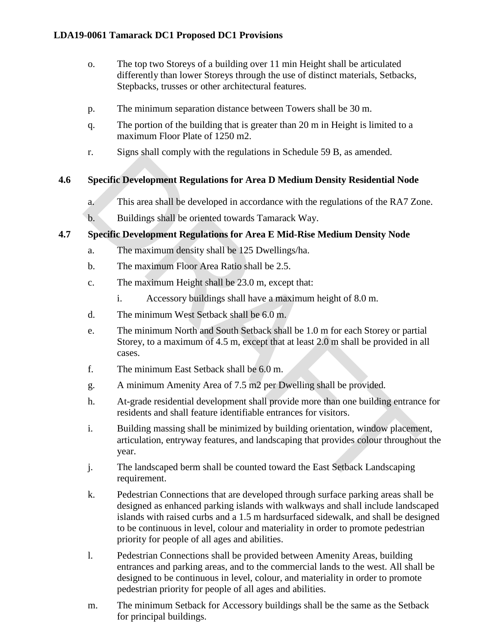- o. The top two Storeys of a building over 11 min Height shall be articulated differently than lower Storeys through the use of distinct materials, Setbacks, Stepbacks, trusses or other architectural features.
- p. The minimum separation distance between Towers shall be 30 m.
- q. The portion of the building that is greater than 20 m in Height is limited to a maximum Floor Plate of 1250 m2.
- r. Signs shall comply with the regulations in Schedule 59 B, as amended.

# **4.6 Specific Development Regulations for Area D Medium Density Residential Node**

- a. This area shall be developed in accordance with the regulations of the RA7 Zone.
- b. Buildings shall be oriented towards Tamarack Way.

# **4.7 Specific Development Regulations for Area E Mid-Rise Medium Density Node**

- a. The maximum density shall be 125 Dwellings/ha.
- b. The maximum Floor Area Ratio shall be 2.5.
- c. The maximum Height shall be 23.0 m, except that:
	- i. Accessory buildings shall have a maximum height of 8.0 m.
- d. The minimum West Setback shall be 6.0 m.
- e. The minimum North and South Setback shall be 1.0 m for each Storey or partial Storey, to a maximum of 4.5 m, except that at least 2.0 m shall be provided in all cases.
- f. The minimum East Setback shall be 6.0 m.
- g. A minimum Amenity Area of 7.5 m2 per Dwelling shall be provided.
- h. At-grade residential development shall provide more than one building entrance for residents and shall feature identifiable entrances for visitors.
- i. Building massing shall be minimized by building orientation, window placement, articulation, entryway features, and landscaping that provides colour throughout the year. 1. Signs stran compty whit the regulations in Schedule 39 D, as an<br>entercolories.<br>Specific Development Regulations for Area D Medium Density Residential Node<br>a.<br>This area shall be developed in accordance with the regulatio
- j. The landscaped berm shall be counted toward the East Setback Landscaping requirement.
- k. Pedestrian Connections that are developed through surface parking areas shall be designed as enhanced parking islands with walkways and shall include landscaped islands with raised curbs and a 1.5 m hardsurfaced sidewalk, and shall be designed to be continuous in level, colour and materiality in order to promote pedestrian priority for people of all ages and abilities.
- l. Pedestrian Connections shall be provided between Amenity Areas, building entrances and parking areas, and to the commercial lands to the west. All shall be designed to be continuous in level, colour, and materiality in order to promote pedestrian priority for people of all ages and abilities.
- m. The minimum Setback for Accessory buildings shall be the same as the Setback for principal buildings.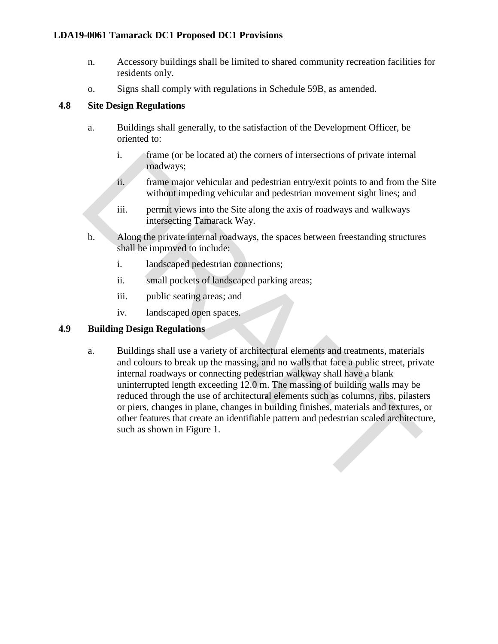- n. Accessory buildings shall be limited to shared community recreation facilities for residents only.
- o. Signs shall comply with regulations in Schedule 59B, as amended.

### **4.8 Site Design Regulations**

- a. Buildings shall generally, to the satisfaction of the Development Officer, be oriented to:
	- i. frame (or be located at) the corners of intersections of private internal roadways;
	- ii. frame major vehicular and pedestrian entry/exit points to and from the Site without impeding vehicular and pedestrian movement sight lines; and
	- iii. permit views into the Site along the axis of roadways and walkways intersecting Tamarack Way.
- b. Along the private internal roadways, the spaces between freestanding structures shall be improved to include:
	- i. landscaped pedestrian connections;
	- ii. small pockets of landscaped parking areas;
	- iii. public seating areas; and
	- iv. landscaped open spaces.

## **4.9 Building Design Regulations**

a. Buildings shall use a variety of architectural elements and treatments, materials and colours to break up the massing, and no walls that face a public street, private internal roadways or connecting pedestrian walkway shall have a blank uninterrupted length exceeding 12.0 m. The massing of building walls may be reduced through the use of architectural elements such as columns, ribs, pilasters or piers, changes in plane, changes in building finishes, materials and textures, or other features that create an identifiable pattern and pedestrian scaled architecture, such as shown in Figure 1. 1. Further (or blocated at) the corners of intersections of private internal<br>readways;<br>
in me correlate and pedestrian entry/exit points to and from the<br>
uniform major vehicular and pedestrian movement sight lines; and<br>
ii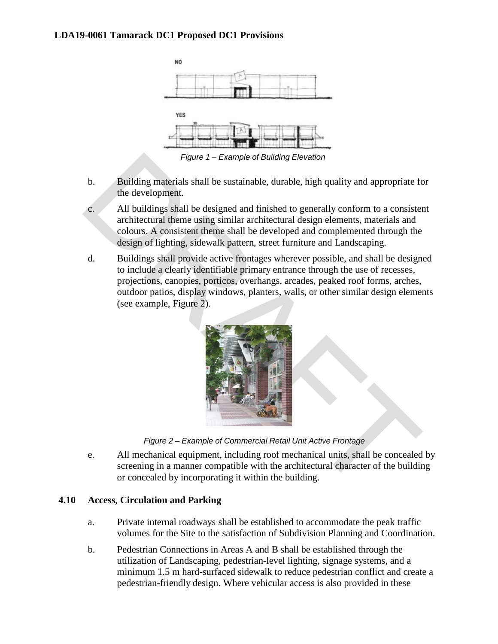

- b. Building materials shall be sustainable, durable, high quality and appropriate for the development.
- c. All buildings shall be designed and finished to generally conform to a consistent architectural theme using similar architectural design elements, materials and colours. A consistent theme shall be developed and complemented through the design of lighting, sidewalk pattern, street furniture and Landscaping.
- d. Buildings shall provide active frontages wherever possible, and shall be designed to include a clearly identifiable primary entrance through the use of recesses, projections, canopies, porticos, overhangs, arcades, peaked roof forms, arches, outdoor patios, display windows, planters, walls, or other similar design elements (see example, Figure 2). Figure 1 – Example of Building Elevation<br>
b.<br>
Building materials shall be sustainable, durable, high quality and appropriate for<br>
the development.<br>
C.<br>
All buildings shall be designed and finished to generally conform to a



*Figure 2 – Example of Commercial Retail Unit Active Frontage*

e. All mechanical equipment, including roof mechanical units, shall be concealed by screening in a manner compatible with the architectural character of the building or concealed by incorporating it within the building.

### **4.10 Access, Circulation and Parking**

- a. Private internal roadways shall be established to accommodate the peak traffic volumes for the Site to the satisfaction of Subdivision Planning and Coordination.
- b. Pedestrian Connections in Areas A and B shall be established through the utilization of Landscaping, pedestrian-level lighting, signage systems, and a minimum 1.5 m hard-surfaced sidewalk to reduce pedestrian conflict and create a pedestrian-friendly design. Where vehicular access is also provided in these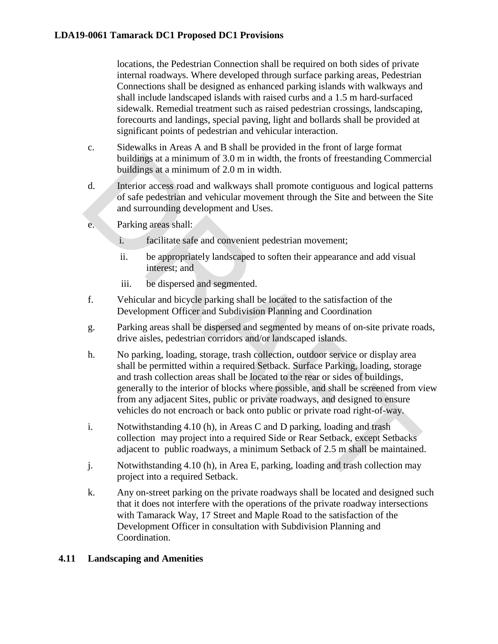locations, the Pedestrian Connection shall be required on both sides of private internal roadways. Where developed through surface parking areas, Pedestrian Connections shall be designed as enhanced parking islands with walkways and shall include landscaped islands with raised curbs and a 1.5 m hard-surfaced sidewalk. Remedial treatment such as raised pedestrian crossings, landscaping, forecourts and landings, special paving, light and bollards shall be provided at significant points of pedestrian and vehicular interaction.

- c. Sidewalks in Areas A and B shall be provided in the front of large format buildings at a minimum of 3.0 m in width, the fronts of freestanding Commercial buildings at a minimum of 2.0 m in width.
- d. Interior access road and walkways shall promote contiguous and logical patterns of safe pedestrian and vehicular movement through the Site and between the Site and surrounding development and Uses.
- e. Parking areas shall:
	- i. facilitate safe and convenient pedestrian movement;
	- ii. be appropriately landscaped to soften their appearance and add visual interest; and
	- iii. be dispersed and segmented.
- f. Vehicular and bicycle parking shall be located to the satisfaction of the Development Officer and Subdivision Planning and Coordination
- g. Parking areas shall be dispersed and segmented by means of on-site private roads, drive aisles, pedestrian corridors and/or landscaped islands.
- h. No parking, loading, storage, trash collection, outdoor service or display area shall be permitted within a required Setback. Surface Parking, loading, storage and trash collection areas shall be located to the rear or sides of buildings, generally to the interior of blocks where possible, and shall be screened from view from any adjacent Sites, public or private roadways, and designed to ensure vehicles do not encroach or back onto public or private road right-of-way. buildings at a minimum of 3.0 m in width, the fronts of freestanding Commerci<br>
buildings at a minimum of 2.0 m in width.<br>
Interior access road and walkways shall promote contiguous and logical patter<br>
of safe pedestrian an
- i. Notwithstanding 4.10 (h), in Areas C and D parking, loading and trash collection may project into a required Side or Rear Setback, except Setbacks adjacent to public roadways, a minimum Setback of 2.5 m shall be maintained.
- j. Notwithstanding 4.10 (h), in Area E, parking, loading and trash collection may project into a required Setback.
- k. Any on-street parking on the private roadways shall be located and designed such that it does not interfere with the operations of the private roadway intersections with Tamarack Way, 17 Street and Maple Road to the satisfaction of the Development Officer in consultation with Subdivision Planning and Coordination.

## **4.11 Landscaping and Amenities**